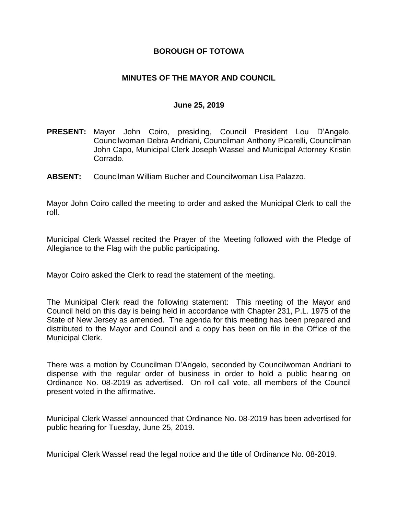## **BOROUGH OF TOTOWA**

## **MINUTES OF THE MAYOR AND COUNCIL**

#### **June 25, 2019**

- **PRESENT:** Mayor John Coiro, presiding, Council President Lou D'Angelo, Councilwoman Debra Andriani, Councilman Anthony Picarelli, Councilman John Capo, Municipal Clerk Joseph Wassel and Municipal Attorney Kristin Corrado.
- **ABSENT:** Councilman William Bucher and Councilwoman Lisa Palazzo.

Mayor John Coiro called the meeting to order and asked the Municipal Clerk to call the roll.

Municipal Clerk Wassel recited the Prayer of the Meeting followed with the Pledge of Allegiance to the Flag with the public participating.

Mayor Coiro asked the Clerk to read the statement of the meeting.

The Municipal Clerk read the following statement: This meeting of the Mayor and Council held on this day is being held in accordance with Chapter 231, P.L. 1975 of the State of New Jersey as amended. The agenda for this meeting has been prepared and distributed to the Mayor and Council and a copy has been on file in the Office of the Municipal Clerk.

There was a motion by Councilman D'Angelo, seconded by Councilwoman Andriani to dispense with the regular order of business in order to hold a public hearing on Ordinance No. 08-2019 as advertised. On roll call vote, all members of the Council present voted in the affirmative.

Municipal Clerk Wassel announced that Ordinance No. 08-2019 has been advertised for public hearing for Tuesday, June 25, 2019.

Municipal Clerk Wassel read the legal notice and the title of Ordinance No. 08-2019.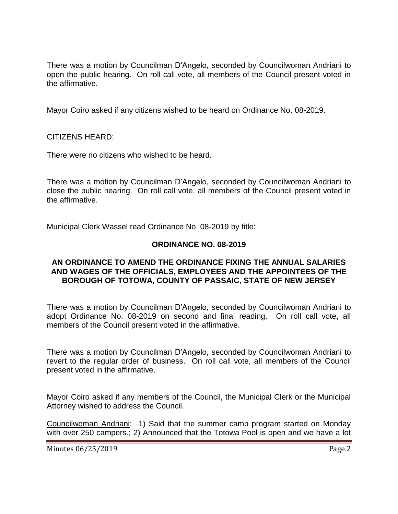There was a motion by Councilman D'Angelo, seconded by Councilwoman Andriani to open the public hearing. On roll call vote, all members of the Council present voted in the affirmative.

Mayor Coiro asked if any citizens wished to be heard on Ordinance No. 08-2019.

CITIZENS HEARD:

There were no citizens who wished to be heard.

There was a motion by Councilman D'Angelo, seconded by Councilwoman Andriani to close the public hearing. On roll call vote, all members of the Council present voted in the affirmative.

Municipal Clerk Wassel read Ordinance No. 08-2019 by title:

# **ORDINANCE NO. 08-2019**

### **AN ORDINANCE TO AMEND THE ORDINANCE FIXING THE ANNUAL SALARIES AND WAGES OF THE OFFICIALS, EMPLOYEES AND THE APPOINTEES OF THE BOROUGH OF TOTOWA, COUNTY OF PASSAIC, STATE OF NEW JERSEY**

There was a motion by Councilman D'Angelo, seconded by Councilwoman Andriani to adopt Ordinance No. 08-2019 on second and final reading. On roll call vote, all members of the Council present voted in the affirmative.

There was a motion by Councilman D'Angelo, seconded by Councilwoman Andriani to revert to the regular order of business. On roll call vote, all members of the Council present voted in the affirmative.

Mayor Coiro asked if any members of the Council, the Municipal Clerk or the Municipal Attorney wished to address the Council.

Councilwoman Andriani: 1) Said that the summer camp program started on Monday with over 250 campers.; 2) Announced that the Totowa Pool is open and we have a lot

Minutes 06/25/2019 **Page 2**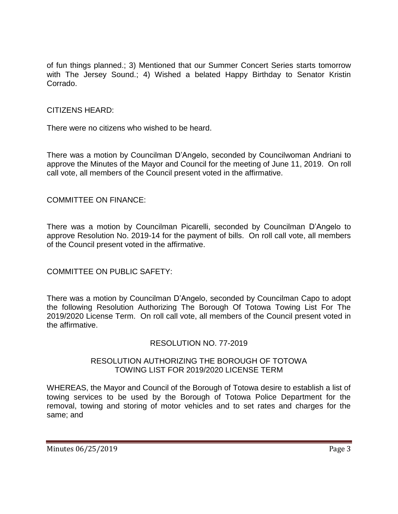of fun things planned.; 3) Mentioned that our Summer Concert Series starts tomorrow with The Jersey Sound.; 4) Wished a belated Happy Birthday to Senator Kristin Corrado.

## CITIZENS HEARD:

There were no citizens who wished to be heard.

There was a motion by Councilman D'Angelo, seconded by Councilwoman Andriani to approve the Minutes of the Mayor and Council for the meeting of June 11, 2019. On roll call vote, all members of the Council present voted in the affirmative.

## COMMITTEE ON FINANCE:

There was a motion by Councilman Picarelli, seconded by Councilman D'Angelo to approve Resolution No. 2019-14 for the payment of bills. On roll call vote, all members of the Council present voted in the affirmative.

COMMITTEE ON PUBLIC SAFETY:

There was a motion by Councilman D'Angelo, seconded by Councilman Capo to adopt the following Resolution Authorizing The Borough Of Totowa Towing List For The 2019/2020 License Term. On roll call vote, all members of the Council present voted in the affirmative.

### RESOLUTION NO. 77-2019

### RESOLUTION AUTHORIZING THE BOROUGH OF TOTOWA TOWING LIST FOR 2019/2020 LICENSE TERM

WHEREAS, the Mayor and Council of the Borough of Totowa desire to establish a list of towing services to be used by the Borough of Totowa Police Department for the removal, towing and storing of motor vehicles and to set rates and charges for the same; and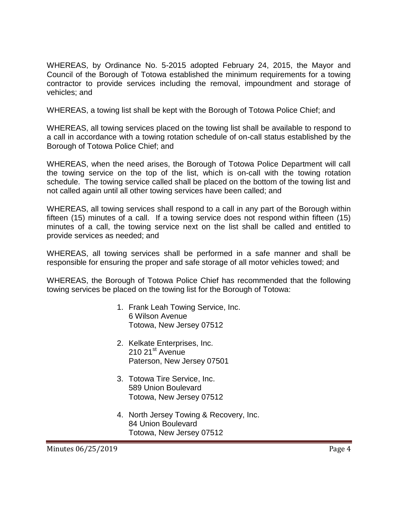WHEREAS, by Ordinance No. 5-2015 adopted February 24, 2015, the Mayor and Council of the Borough of Totowa established the minimum requirements for a towing contractor to provide services including the removal, impoundment and storage of vehicles; and

WHEREAS, a towing list shall be kept with the Borough of Totowa Police Chief; and

WHEREAS, all towing services placed on the towing list shall be available to respond to a call in accordance with a towing rotation schedule of on-call status established by the Borough of Totowa Police Chief; and

WHEREAS, when the need arises, the Borough of Totowa Police Department will call the towing service on the top of the list, which is on-call with the towing rotation schedule. The towing service called shall be placed on the bottom of the towing list and not called again until all other towing services have been called; and

WHEREAS, all towing services shall respond to a call in any part of the Borough within fifteen (15) minutes of a call. If a towing service does not respond within fifteen (15) minutes of a call, the towing service next on the list shall be called and entitled to provide services as needed; and

WHEREAS, all towing services shall be performed in a safe manner and shall be responsible for ensuring the proper and safe storage of all motor vehicles towed; and

WHEREAS, the Borough of Totowa Police Chief has recommended that the following towing services be placed on the towing list for the Borough of Totowa:

- 1. Frank Leah Towing Service, Inc. 6 Wilson Avenue Totowa, New Jersey 07512
- 2. Kelkate Enterprises, Inc. 210 21<sup>st</sup> Avenue Paterson, New Jersey 07501
- 3. Totowa Tire Service, Inc. 589 Union Boulevard Totowa, New Jersey 07512
- 4. North Jersey Towing & Recovery, Inc. 84 Union Boulevard Totowa, New Jersey 07512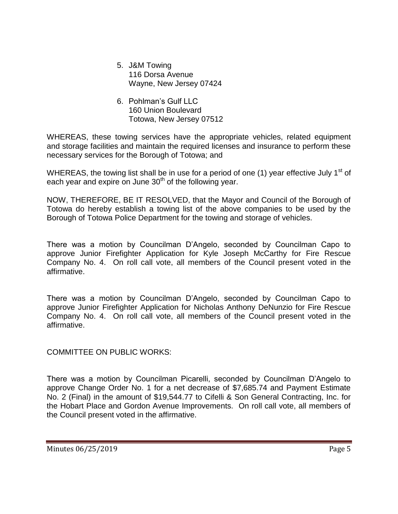- 5. J&M Towing 116 Dorsa Avenue Wayne, New Jersey 07424
- 6. Pohlman's Gulf LLC 160 Union Boulevard Totowa, New Jersey 07512

WHEREAS, these towing services have the appropriate vehicles, related equipment and storage facilities and maintain the required licenses and insurance to perform these necessary services for the Borough of Totowa; and

WHEREAS, the towing list shall be in use for a period of one (1) year effective July 1<sup>st</sup> of each year and expire on June 30<sup>th</sup> of the following year.

NOW, THEREFORE, BE IT RESOLVED, that the Mayor and Council of the Borough of Totowa do hereby establish a towing list of the above companies to be used by the Borough of Totowa Police Department for the towing and storage of vehicles.

There was a motion by Councilman D'Angelo, seconded by Councilman Capo to approve Junior Firefighter Application for Kyle Joseph McCarthy for Fire Rescue Company No. 4. On roll call vote, all members of the Council present voted in the affirmative.

There was a motion by Councilman D'Angelo, seconded by Councilman Capo to approve Junior Firefighter Application for Nicholas Anthony DeNunzio for Fire Rescue Company No. 4. On roll call vote, all members of the Council present voted in the affirmative.

COMMITTEE ON PUBLIC WORKS:

There was a motion by Councilman Picarelli, seconded by Councilman D'Angelo to approve Change Order No. 1 for a net decrease of \$7,685.74 and Payment Estimate No. 2 (Final) in the amount of \$19,544.77 to Cifelli & Son General Contracting, Inc. for the Hobart Place and Gordon Avenue Improvements. On roll call vote, all members of the Council present voted in the affirmative.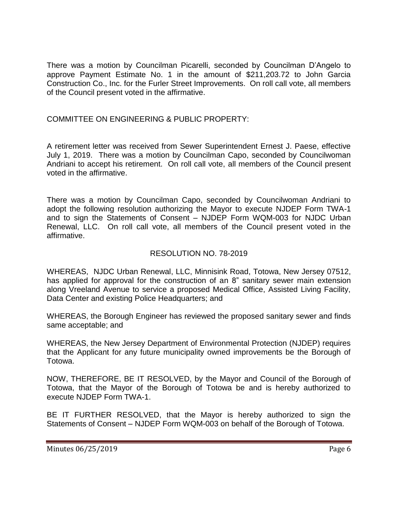There was a motion by Councilman Picarelli, seconded by Councilman D'Angelo to approve Payment Estimate No. 1 in the amount of \$211,203.72 to John Garcia Construction Co., Inc. for the Furler Street Improvements. On roll call vote, all members of the Council present voted in the affirmative.

# COMMITTEE ON ENGINEERING & PUBLIC PROPERTY:

A retirement letter was received from Sewer Superintendent Ernest J. Paese, effective July 1, 2019. There was a motion by Councilman Capo, seconded by Councilwoman Andriani to accept his retirement. On roll call vote, all members of the Council present voted in the affirmative.

There was a motion by Councilman Capo, seconded by Councilwoman Andriani to adopt the following resolution authorizing the Mayor to execute NJDEP Form TWA-1 and to sign the Statements of Consent – NJDEP Form WQM-003 for NJDC Urban Renewal, LLC. On roll call vote, all members of the Council present voted in the affirmative.

# RESOLUTION NO. 78-2019

WHEREAS, NJDC Urban Renewal, LLC, Minnisink Road, Totowa, New Jersey 07512, has applied for approval for the construction of an 8" sanitary sewer main extension along Vreeland Avenue to service a proposed Medical Office, Assisted Living Facility, Data Center and existing Police Headquarters; and

WHEREAS, the Borough Engineer has reviewed the proposed sanitary sewer and finds same acceptable; and

WHEREAS, the New Jersey Department of Environmental Protection (NJDEP) requires that the Applicant for any future municipality owned improvements be the Borough of Totowa.

NOW, THEREFORE, BE IT RESOLVED, by the Mayor and Council of the Borough of Totowa, that the Mayor of the Borough of Totowa be and is hereby authorized to execute NJDEP Form TWA-1.

BE IT FURTHER RESOLVED, that the Mayor is hereby authorized to sign the Statements of Consent – NJDEP Form WQM-003 on behalf of the Borough of Totowa.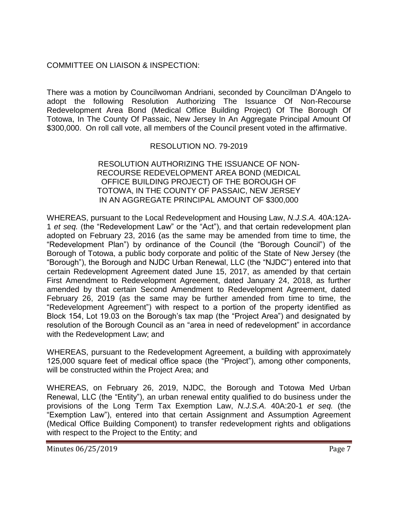# COMMITTEE ON LIAISON & INSPECTION:

There was a motion by Councilwoman Andriani, seconded by Councilman D'Angelo to adopt the following Resolution Authorizing The Issuance Of Non-Recourse Redevelopment Area Bond (Medical Office Building Project) Of The Borough Of Totowa, In The County Of Passaic, New Jersey In An Aggregate Principal Amount Of \$300,000. On roll call vote, all members of the Council present voted in the affirmative.

# RESOLUTION NO. 79-2019

#### RESOLUTION AUTHORIZING THE ISSUANCE OF NON-RECOURSE REDEVELOPMENT AREA BOND (MEDICAL OFFICE BUILDING PROJECT) OF THE BOROUGH OF TOTOWA, IN THE COUNTY OF PASSAIC, NEW JERSEY IN AN AGGREGATE PRINCIPAL AMOUNT OF \$300,000

WHEREAS, pursuant to the Local Redevelopment and Housing Law, *N.J.S.A.* 40A:12A-1 *et seq.* (the "Redevelopment Law" or the "Act"), and that certain redevelopment plan adopted on February 23, 2016 (as the same may be amended from time to time, the "Redevelopment Plan") by ordinance of the Council (the "Borough Council") of the Borough of Totowa, a public body corporate and politic of the State of New Jersey (the "Borough"), the Borough and NJDC Urban Renewal, LLC (the "NJDC") entered into that certain Redevelopment Agreement dated June 15, 2017, as amended by that certain First Amendment to Redevelopment Agreement, dated January 24, 2018, as further amended by that certain Second Amendment to Redevelopment Agreement, dated February 26, 2019 (as the same may be further amended from time to time, the "Redevelopment Agreement") with respect to a portion of the property identified as Block 154, Lot 19.03 on the Borough's tax map (the "Project Area") and designated by resolution of the Borough Council as an "area in need of redevelopment" in accordance with the Redevelopment Law; and

WHEREAS, pursuant to the Redevelopment Agreement, a building with approximately 125,000 square feet of medical office space (the "Project"), among other components, will be constructed within the Project Area; and

WHEREAS, on February 26, 2019, NJDC, the Borough and Totowa Med Urban Renewal, LLC (the "Entity"), an urban renewal entity qualified to do business under the provisions of the Long Term Tax Exemption Law, *N.J.S.A.* 40A:20-1 *et seq.* (the "Exemption Law"), entered into that certain Assignment and Assumption Agreement (Medical Office Building Component) to transfer redevelopment rights and obligations with respect to the Project to the Entity; and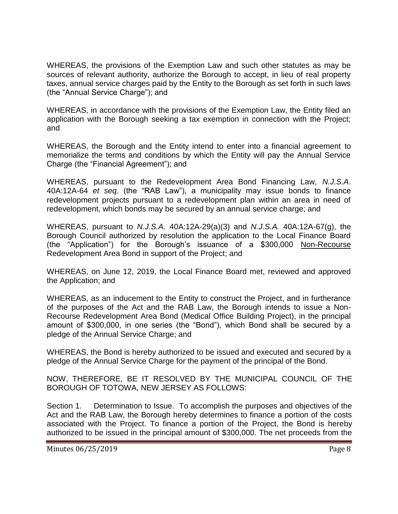WHEREAS, the provisions of the Exemption Law and such other statutes as may be sources of relevant authority, authorize the Borough to accept, in lieu of real property taxes, annual service charges paid by the Entity to the Borough as set forth in such laws (the "Annual Service Charge"); and

WHEREAS, in accordance with the provisions of the Exemption Law, the Entity filed an application with the Borough seeking a tax exemption in connection with the Project; and

WHEREAS, the Borough and the Entity intend to enter into a financial agreement to memorialize the terms and conditions by which the Entity will pay the Annual Service Charge (the "Financial Agreement"); and

WHEREAS, pursuant to the Redevelopment Area Bond Financing Law, *N.J.S.A*. 40A:12A-64 *et seq*. (the "RAB Law"), a municipality may issue bonds to finance redevelopment projects pursuant to a redevelopment plan within an area in need of redevelopment, which bonds may be secured by an annual service charge; and

WHEREAS, pursuant to *N.J.S.A.* 40A:12A-29(a)(3) and *N.J.S.A.* 40A:12A-67(g), the Borough Council authorized by resolution the application to the Local Finance Board (the "Application") for the Borough's issuance of a \$300,000 Non-Recourse Redevelopment Area Bond in support of the Project; and

WHEREAS, on June 12, 2019, the Local Finance Board met, reviewed and approved the Application; and

WHEREAS, as an inducement to the Entity to construct the Project, and in furtherance of the purposes of the Act and the RAB Law, the Borough intends to issue a Non-Recourse Redevelopment Area Bond (Medical Office Building Project), in the principal amount of \$300,000, in one series (the "Bond"), which Bond shall be secured by a pledge of the Annual Service Charge; and

WHEREAS, the Bond is hereby authorized to be issued and executed and secured by a pledge of the Annual Service Charge for the payment of the principal of the Bond.

NOW, THEREFORE, BE IT RESOLVED BY THE MUNICIPAL COUNCIL OF THE BOROUGH OF TOTOWA, NEW JERSEY AS FOLLOWS:

Section 1. Determination to Issue. To accomplish the purposes and objectives of the Act and the RAB Law, the Borough hereby determines to finance a portion of the costs associated with the Project. To finance a portion of the Project, the Bond is hereby authorized to be issued in the principal amount of \$300,000. The net proceeds from the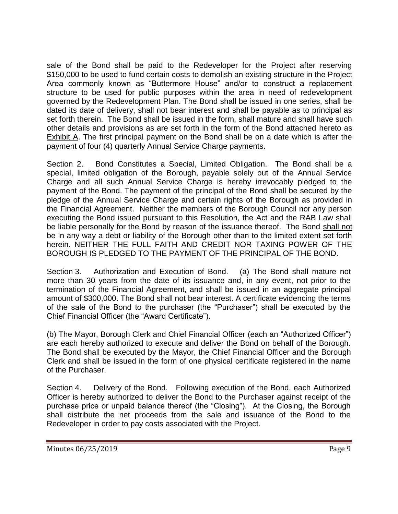sale of the Bond shall be paid to the Redeveloper for the Project after reserving \$150,000 to be used to fund certain costs to demolish an existing structure in the Project Area commonly known as "Buttermore House" and/or to construct a replacement structure to be used for public purposes within the area in need of redevelopment governed by the Redevelopment Plan. The Bond shall be issued in one series, shall be dated its date of delivery, shall not bear interest and shall be payable as to principal as set forth therein. The Bond shall be issued in the form, shall mature and shall have such other details and provisions as are set forth in the form of the Bond attached hereto as Exhibit A. The first principal payment on the Bond shall be on a date which is after the payment of four (4) quarterly Annual Service Charge payments.

Section 2. Bond Constitutes a Special, Limited Obligation. The Bond shall be a special, limited obligation of the Borough, payable solely out of the Annual Service Charge and all such Annual Service Charge is hereby irrevocably pledged to the payment of the Bond. The payment of the principal of the Bond shall be secured by the pledge of the Annual Service Charge and certain rights of the Borough as provided in the Financial Agreement. Neither the members of the Borough Council nor any person executing the Bond issued pursuant to this Resolution, the Act and the RAB Law shall be liable personally for the Bond by reason of the issuance thereof. The Bond shall not be in any way a debt or liability of the Borough other than to the limited extent set forth herein. NEITHER THE FULL FAITH AND CREDIT NOR TAXING POWER OF THE BOROUGH IS PLEDGED TO THE PAYMENT OF THE PRINCIPAL OF THE BOND.

Section 3. Authorization and Execution of Bond. (a) The Bond shall mature not more than 30 years from the date of its issuance and, in any event, not prior to the termination of the Financial Agreement, and shall be issued in an aggregate principal amount of \$300,000. The Bond shall not bear interest. A certificate evidencing the terms of the sale of the Bond to the purchaser (the "Purchaser") shall be executed by the Chief Financial Officer (the "Award Certificate").

(b) The Mayor, Borough Clerk and Chief Financial Officer (each an "Authorized Officer") are each hereby authorized to execute and deliver the Bond on behalf of the Borough. The Bond shall be executed by the Mayor, the Chief Financial Officer and the Borough Clerk and shall be issued in the form of one physical certificate registered in the name of the Purchaser.

Section 4. Delivery of the Bond. Following execution of the Bond, each Authorized Officer is hereby authorized to deliver the Bond to the Purchaser against receipt of the purchase price or unpaid balance thereof (the "Closing"). At the Closing, the Borough shall distribute the net proceeds from the sale and issuance of the Bond to the Redeveloper in order to pay costs associated with the Project.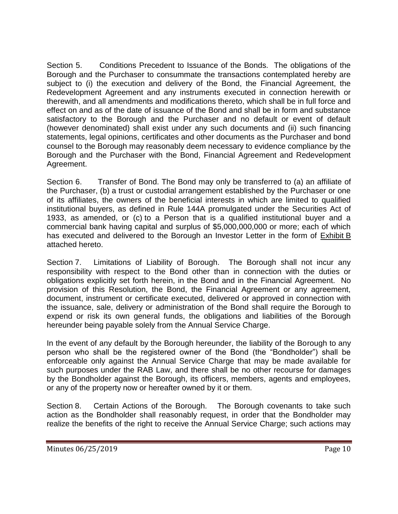Section 5. Conditions Precedent to Issuance of the Bonds. The obligations of the Borough and the Purchaser to consummate the transactions contemplated hereby are subject to (i) the execution and delivery of the Bond, the Financial Agreement, the Redevelopment Agreement and any instruments executed in connection herewith or therewith, and all amendments and modifications thereto, which shall be in full force and effect on and as of the date of issuance of the Bond and shall be in form and substance satisfactory to the Borough and the Purchaser and no default or event of default (however denominated) shall exist under any such documents and (ii) such financing statements, legal opinions, certificates and other documents as the Purchaser and bond counsel to the Borough may reasonably deem necessary to evidence compliance by the Borough and the Purchaser with the Bond, Financial Agreement and Redevelopment Agreement.

Section 6. Transfer of Bond. The Bond may only be transferred to (a) an affiliate of the Purchaser, (b) a trust or custodial arrangement established by the Purchaser or one of its affiliates, the owners of the beneficial interests in which are limited to qualified institutional buyers, as defined in Rule 144A promulgated under the Securities Act of 1933, as amended, or (c) to a Person that is a qualified institutional buyer and a commercial bank having capital and surplus of \$5,000,000,000 or more; each of which has executed and delivered to the Borough an Investor Letter in the form of Exhibit B attached hereto.

Section 7. Limitations of Liability of Borough. The Borough shall not incur any responsibility with respect to the Bond other than in connection with the duties or obligations explicitly set forth herein, in the Bond and in the Financial Agreement. No provision of this Resolution, the Bond, the Financial Agreement or any agreement, document, instrument or certificate executed, delivered or approved in connection with the issuance, sale, delivery or administration of the Bond shall require the Borough to expend or risk its own general funds, the obligations and liabilities of the Borough hereunder being payable solely from the Annual Service Charge.

In the event of any default by the Borough hereunder, the liability of the Borough to any person who shall be the registered owner of the Bond (the "Bondholder") shall be enforceable only against the Annual Service Charge that may be made available for such purposes under the RAB Law, and there shall be no other recourse for damages by the Bondholder against the Borough, its officers, members, agents and employees, or any of the property now or hereafter owned by it or them.

Section 8. Certain Actions of the Borough. The Borough covenants to take such action as the Bondholder shall reasonably request, in order that the Bondholder may realize the benefits of the right to receive the Annual Service Charge; such actions may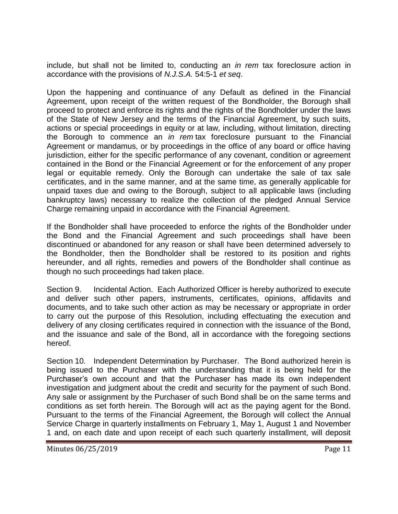include, but shall not be limited to, conducting an *in rem* tax foreclosure action in accordance with the provisions of *N.J.S.A.* 54:5-1 *et seq*.

Upon the happening and continuance of any Default as defined in the Financial Agreement, upon receipt of the written request of the Bondholder, the Borough shall proceed to protect and enforce its rights and the rights of the Bondholder under the laws of the State of New Jersey and the terms of the Financial Agreement, by such suits, actions or special proceedings in equity or at law, including, without limitation, directing the Borough to commence an *in rem* tax foreclosure pursuant to the Financial Agreement or mandamus, or by proceedings in the office of any board or office having jurisdiction, either for the specific performance of any covenant, condition or agreement contained in the Bond or the Financial Agreement or for the enforcement of any proper legal or equitable remedy. Only the Borough can undertake the sale of tax sale certificates, and in the same manner, and at the same time, as generally applicable for unpaid taxes due and owing to the Borough, subject to all applicable laws (including bankruptcy laws) necessary to realize the collection of the pledged Annual Service Charge remaining unpaid in accordance with the Financial Agreement.

If the Bondholder shall have proceeded to enforce the rights of the Bondholder under the Bond and the Financial Agreement and such proceedings shall have been discontinued or abandoned for any reason or shall have been determined adversely to the Bondholder, then the Bondholder shall be restored to its position and rights hereunder, and all rights, remedies and powers of the Bondholder shall continue as though no such proceedings had taken place.

Section 9. Incidental Action. Each Authorized Officer is hereby authorized to execute and deliver such other papers, instruments, certificates, opinions, affidavits and documents, and to take such other action as may be necessary or appropriate in order to carry out the purpose of this Resolution, including effectuating the execution and delivery of any closing certificates required in connection with the issuance of the Bond, and the issuance and sale of the Bond, all in accordance with the foregoing sections hereof.

Section 10. Independent Determination by Purchaser. The Bond authorized herein is being issued to the Purchaser with the understanding that it is being held for the Purchaser's own account and that the Purchaser has made its own independent investigation and judgment about the credit and security for the payment of such Bond. Any sale or assignment by the Purchaser of such Bond shall be on the same terms and conditions as set forth herein. The Borough will act as the paying agent for the Bond. Pursuant to the terms of the Financial Agreement, the Borough will collect the Annual Service Charge in quarterly installments on February 1, May 1, August 1 and November 1 and, on each date and upon receipt of each such quarterly installment, will deposit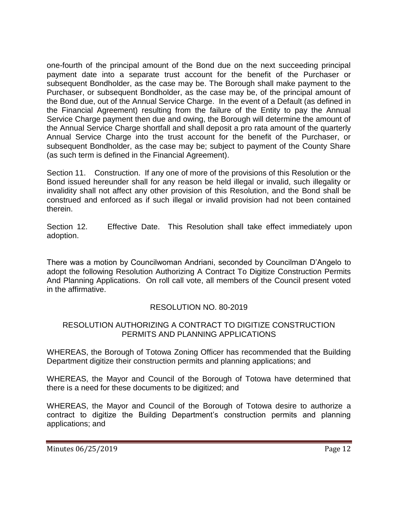one-fourth of the principal amount of the Bond due on the next succeeding principal payment date into a separate trust account for the benefit of the Purchaser or subsequent Bondholder, as the case may be. The Borough shall make payment to the Purchaser, or subsequent Bondholder, as the case may be, of the principal amount of the Bond due, out of the Annual Service Charge. In the event of a Default (as defined in the Financial Agreement) resulting from the failure of the Entity to pay the Annual Service Charge payment then due and owing, the Borough will determine the amount of the Annual Service Charge shortfall and shall deposit a pro rata amount of the quarterly Annual Service Charge into the trust account for the benefit of the Purchaser, or subsequent Bondholder, as the case may be; subject to payment of the County Share (as such term is defined in the Financial Agreement).

Section 11. Construction. If any one of more of the provisions of this Resolution or the Bond issued hereunder shall for any reason be held illegal or invalid, such illegality or invalidity shall not affect any other provision of this Resolution, and the Bond shall be construed and enforced as if such illegal or invalid provision had not been contained therein.

Section 12. Effective Date. This Resolution shall take effect immediately upon adoption.

There was a motion by Councilwoman Andriani, seconded by Councilman D'Angelo to adopt the following Resolution Authorizing A Contract To Digitize Construction Permits And Planning Applications. On roll call vote, all members of the Council present voted in the affirmative.

# RESOLUTION NO. 80-2019

## RESOLUTION AUTHORIZING A CONTRACT TO DIGITIZE CONSTRUCTION PERMITS AND PLANNING APPLICATIONS

WHEREAS, the Borough of Totowa Zoning Officer has recommended that the Building Department digitize their construction permits and planning applications; and

WHEREAS, the Mayor and Council of the Borough of Totowa have determined that there is a need for these documents to be digitized; and

WHEREAS, the Mayor and Council of the Borough of Totowa desire to authorize a contract to digitize the Building Department's construction permits and planning applications; and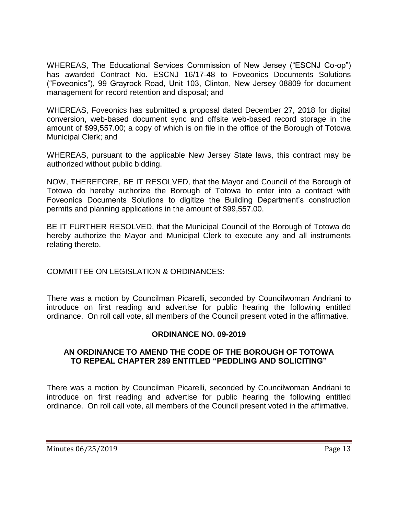WHEREAS, The Educational Services Commission of New Jersey ("ESCNJ Co-op") has awarded Contract No. ESCNJ 16/17-48 to Foveonics Documents Solutions ("Foveonics"), 99 Grayrock Road, Unit 103, Clinton, New Jersey 08809 for document management for record retention and disposal; and

WHEREAS, Foveonics has submitted a proposal dated December 27, 2018 for digital conversion, web-based document sync and offsite web-based record storage in the amount of \$99,557.00; a copy of which is on file in the office of the Borough of Totowa Municipal Clerk; and

WHEREAS, pursuant to the applicable New Jersey State laws, this contract may be authorized without public bidding.

NOW, THEREFORE, BE IT RESOLVED, that the Mayor and Council of the Borough of Totowa do hereby authorize the Borough of Totowa to enter into a contract with Foveonics Documents Solutions to digitize the Building Department's construction permits and planning applications in the amount of \$99,557.00.

BE IT FURTHER RESOLVED, that the Municipal Council of the Borough of Totowa do hereby authorize the Mayor and Municipal Clerk to execute any and all instruments relating thereto.

COMMITTEE ON LEGISLATION & ORDINANCES:

There was a motion by Councilman Picarelli, seconded by Councilwoman Andriani to introduce on first reading and advertise for public hearing the following entitled ordinance. On roll call vote, all members of the Council present voted in the affirmative.

# **ORDINANCE NO. 09-2019**

## **AN ORDINANCE TO AMEND THE CODE OF THE BOROUGH OF TOTOWA TO REPEAL CHAPTER 289 ENTITLED "PEDDLING AND SOLICITING"**

There was a motion by Councilman Picarelli, seconded by Councilwoman Andriani to introduce on first reading and advertise for public hearing the following entitled ordinance. On roll call vote, all members of the Council present voted in the affirmative.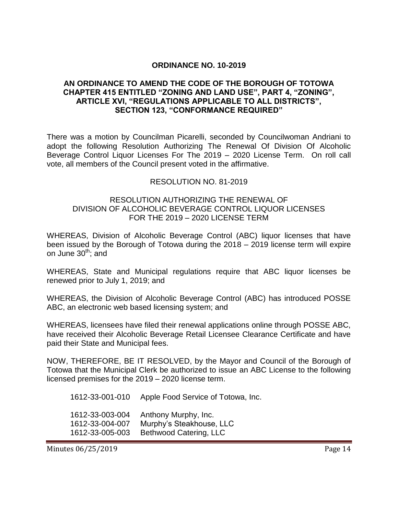### **ORDINANCE NO. 10-2019**

### **AN ORDINANCE TO AMEND THE CODE OF THE BOROUGH OF TOTOWA CHAPTER 415 ENTITLED "ZONING AND LAND USE", PART 4, "ZONING", ARTICLE XVI, "REGULATIONS APPLICABLE TO ALL DISTRICTS", SECTION 123, "CONFORMANCE REQUIRED"**

There was a motion by Councilman Picarelli, seconded by Councilwoman Andriani to adopt the following Resolution Authorizing The Renewal Of Division Of Alcoholic Beverage Control Liquor Licenses For The 2019 – 2020 License Term. On roll call vote, all members of the Council present voted in the affirmative.

#### RESOLUTION NO. 81-2019

### RESOLUTION AUTHORIZING THE RENEWAL OF DIVISION OF ALCOHOLIC BEVERAGE CONTROL LIQUOR LICENSES FOR THE 2019 – 2020 LICENSE TERM

WHEREAS, Division of Alcoholic Beverage Control (ABC) liquor licenses that have been issued by the Borough of Totowa during the 2018 – 2019 license term will expire on June  $30<sup>th</sup>$ ; and

WHEREAS, State and Municipal regulations require that ABC liquor licenses be renewed prior to July 1, 2019; and

WHEREAS, the Division of Alcoholic Beverage Control (ABC) has introduced POSSE ABC, an electronic web based licensing system; and

WHEREAS, licensees have filed their renewal applications online through POSSE ABC, have received their Alcoholic Beverage Retail Licensee Clearance Certificate and have paid their State and Municipal fees.

NOW, THEREFORE, BE IT RESOLVED, by the Mayor and Council of the Borough of Totowa that the Municipal Clerk be authorized to issue an ABC License to the following licensed premises for the 2019 – 2020 license term.

1612-33-001-010 Apple Food Service of Totowa, Inc. 1612-33-003-004 Anthony Murphy, Inc. 1612-33-004-007 Murphy's Steakhouse, LLC 1612-33-005-003 Bethwood Catering, LLC

Minutes 06/25/2019 **Page 14**